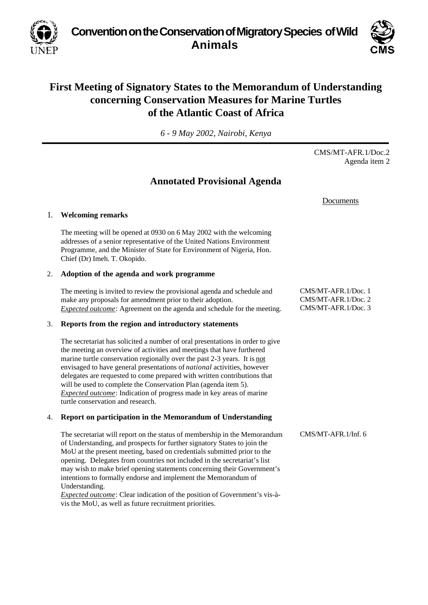**Convention on the Conservation of Migratory Species of Wild Animals**



# **First Meeting of Signatory States to the Memorandum of Understanding concerning Conservation Measures for Marine Turtles of the Atlantic Coast of Africa**

*6 - 9 May 2002, Nairobi, Kenya*

CMS/MT-AFR.1/Doc.2 Agenda item 2

## **Annotated Provisional Agenda**

Documents

## 1. **Welcoming remarks**

The meeting will be opened at 0930 on 6 May 2002 with the welcoming addresses of a senior representative of the United Nations Environment Programme, and the Minister of State for Environment of Nigeria, Hon. Chief (Dr) Imeh. T. Okopido.

## 2. **Adoption of the agenda and work programme**

The meeting is invited to review the provisional agenda and schedule and make any proposals for amendment prior to their adoption. *Expected outcome*: Agreement on the agenda and schedule for the meeting.

## 3. **Reports from the region and introductory statements**

The secretariat has solicited a number of oral presentations in order to give the meeting an overview of activities and meetings that have furthered marine turtle conservation regionally over the past 2-3 years. It is not envisaged to have general presentations of *national* activities, however delegates are requested to come prepared with written contributions that will be used to complete the Conservation Plan (agenda item 5). *Expected outcome*: Indication of progress made in key areas of marine turtle conservation and research.

## 4. **Report on participation in the Memorandum of Understanding**

The secretariat will report on the status of membership in the Memorandum of Understanding, and prospects for further signatory States to join the MoU at the present meeting, based on credentials submitted prior to the opening. Delegates from countries not included in the secretariat's list may wish to make brief opening statements concerning their Government's intentions to formally endorse and implement the Memorandum of Understanding.

*Expected outcome*: Clear indication of the position of Government's vis-àvis the MoU, as well as future recruitment priorities.

CMS/MT-AFR.1/Doc. 1 CMS/MT-AFR.1/Doc. 2 CMS/MT-AFR.1/Doc. 3

CMS/MT-AFR.1/Inf. 6

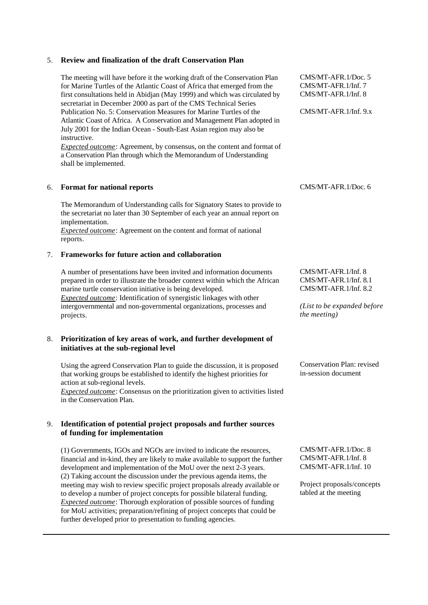#### 5. **Review and finalization of the draft Conservation Plan**

The meeting will have before it the working draft of the Conservation Plan for Marine Turtles of the Atlantic Coast of Africa that emerged from the first consultations held in Abidjan (May 1999) and which was circulated by secretariat in December 2000 as part of the CMS Technical Series Publication No. 5: Conservation Measures for Marine Turtles of the Atlantic Coast of Africa. A Conservation and Management Plan adopted in July 2001 for the Indian Ocean - South-East Asian region may also be instructive.

*Expected outcome*: Agreement, by consensus, on the content and format of a Conservation Plan through which the Memorandum of Understanding shall be implemented.

### 6. **Format for national reports**

The Memorandum of Understanding calls for Signatory States to provide to the secretariat no later than 30 September of each year an annual report on implementation.

*Expected outcome*: Agreement on the content and format of national reports.

#### 7. **Frameworks for future action and collaboration**

A number of presentations have been invited and information documents prepared in order to illustrate the broader context within which the African marine turtle conservation initiative is being developed. *Expected outcome*: Identification of synergistic linkages with other intergovernmental and non-governmental organizations, processes and projects.

#### 8. **Prioritization of key areas of work, and further development of initiatives at the sub-regional level**

Using the agreed Conservation Plan to guide the discussion, it is proposed that working groups be established to identify the highest priorities for action at sub-regional levels.

*Expected outcome*: Consensus on the prioritization given to activities listed in the Conservation Plan.

## 9. **Identification of potential project proposals and further sources of funding for implementation**

(1) Governments, IGOs and NGOs are invited to indicate the resources, financial and in-kind, they are likely to make available to support the further development and implementation of the MoU over the next 2-3 years. (2) Taking account the discussion under the previous agenda items, the meeting may wish to review specific project proposals already available or to develop a number of project concepts for possible bilateral funding. *Expected outcome*: Thorough exploration of possible sources of funding for MoU activities; preparation/refining of project concepts that could be further developed prior to presentation to funding agencies.

CMS/MT-AFR.1/Doc. 5 CMS/MT-AFR.1/Inf. 7 CMS/MT-AFR.1/Inf. 8

CMS/MT-AFR.1/Inf. 9.x

CMS/MT-AFR.1/Doc. 6

CMS/MT-AFR.1/Inf. 8 CMS/MT-AFR.1/Inf. 8.1 CMS/MT-AFR.1/Inf. 8.2

*(List to be expanded before the meeting)*

Conservation Plan: revised in-session document

CMS/MT-AFR.1/Doc. 8 CMS/MT-AFR.1/Inf. 8 CMS/MT-AFR.1/Inf. 10

Project proposals/concepts tabled at the meeting